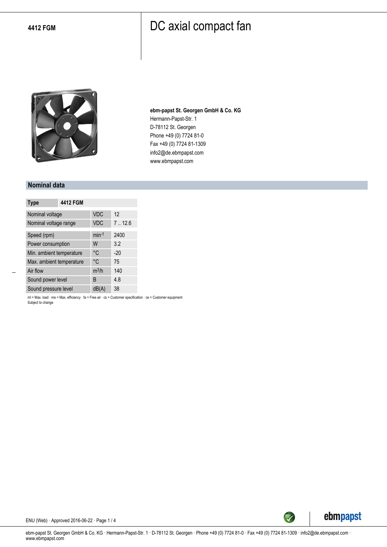

**ebm-papst St. Georgen GmbH & Co. KG** Hermann-Papst-Str. 1 D-78112 St. Georgen Phone +49 (0) 7724 81-0 Fax +49 (0) 7724 81-1309 info2@de.ebmpapst.com www.ebmpapst.com

#### **Nominal data**

| <b>Type</b>              | <b>4412 FGM</b> |            |        |
|--------------------------|-----------------|------------|--------|
| Nominal voltage          |                 | <b>VDC</b> | 12     |
| Nominal voltage range    |                 | <b>VDC</b> | 7.12.6 |
| Speed (rpm)              |                 | $min-1$    | 2400   |
| Power consumption        |                 | W          | 3.2    |
| Min. ambient temperature |                 | °C         | $-20$  |
| Max. ambient temperature |                 | °C         | 75     |
| Air flow                 |                 | $m^3/h$    | 140    |
| Sound power level        |                 | B          | 4.8    |
| Sound pressure level     |                 | dB(A)      | 38     |

ml = Max. load · me = Max. efficiency · fa = Free air · cs = Customer specification · ce = Customer equipment Subject to change



ENU (Web) · Approved 2016-06-22 · Page 1 / 4

ebm-papst St. Georgen GmbH & Co. KG · Hermann-Papst-Str. 1 · D-78112 St. Georgen · Phone +49 (0) 7724 81-0 · Fax +49 (0) 7724 81-1309 · info2@de.ebmpapst.com · www.ebmpapst.com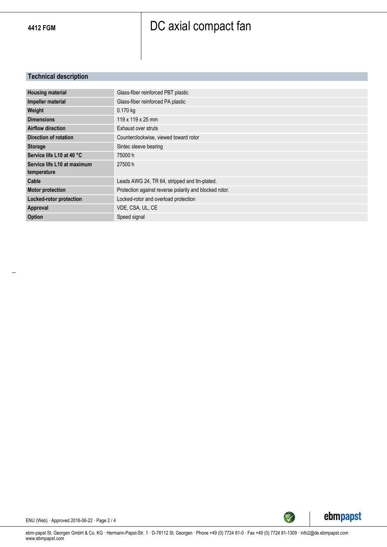### **Technical description**

| <b>Housing material</b>     | Glass-fiber reinforced PBT plastic                     |
|-----------------------------|--------------------------------------------------------|
| Impeller material           | Glass-fiber reinforced PA plastic                      |
| Weight                      | $0.170$ kg                                             |
| <b>Dimensions</b>           | 119 x 119 x 25 mm                                      |
| <b>Airflow direction</b>    | Exhaust over struts                                    |
| Direction of rotation       | Counterclockwise, viewed toward rotor                  |
| <b>Storage</b>              | Sintec sleeve bearing                                  |
| Service life L10 at 40 °C   | 75000 h                                                |
| Service life L10 at maximum | 27500 h                                                |
| temperature                 |                                                        |
| Cable                       | Leads AWG 24, TR 64, stripped and tin-plated.          |
| <b>Motor protection</b>     | Protection against reverse polarity and blocked rotor. |
| Locked-rotor protection     | Locked-rotor and overload protection                   |
| Approval                    | VDE, CSA, UL, CE                                       |
| Option                      | Speed signal                                           |



ENU (Web) · Approved 2016-06-22 · Page 2 / 4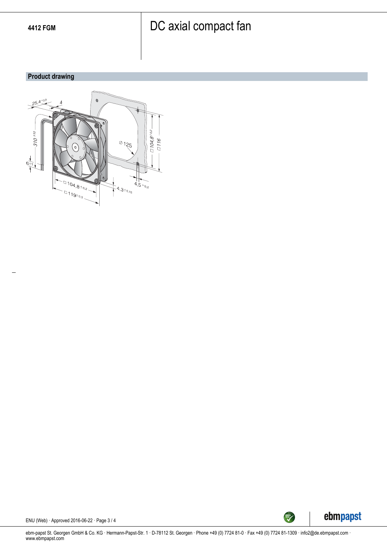### **Product drawing**





ENU (Web) · Approved 2016-06-22 · Page 3 / 4

ebm-papst St. Georgen GmbH & Co. KG · Hermann-Papst-Str. 1 · D-78112 St. Georgen · Phone +49 (0) 7724 81-0 · Fax +49 (0) 7724 81-1309 · info2@de.ebmpapst.com · www.ebmpapst.com